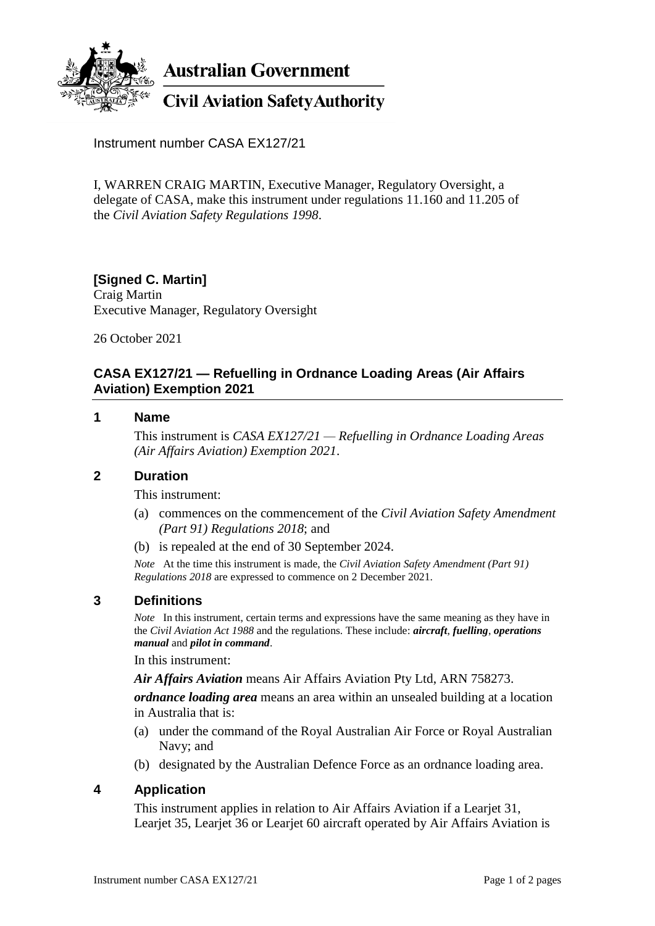

**Australian Government** 

# **Civil Aviation Safety Authority**

Instrument number CASA EX127/21

I, WARREN CRAIG MARTIN, Executive Manager, Regulatory Oversight, a delegate of CASA, make this instrument under regulations 11.160 and 11.205 of the *Civil Aviation Safety Regulations 1998*.

#### **[Signed C. Martin]** Craig Martin

Executive Manager, Regulatory Oversight

26 October 2021

## **CASA EX127/21 — Refuelling in Ordnance Loading Areas (Air Affairs Aviation) Exemption 2021**

#### **1 Name**

This instrument is *CASA EX127/21 — Refuelling in Ordnance Loading Areas (Air Affairs Aviation) Exemption 2021*.

#### **2 Duration**

This instrument:

- (a) commences on the commencement of the *Civil Aviation Safety Amendment (Part 91) Regulations 2018*; and
- (b) is repealed at the end of 30 September 2024.

*Note* At the time this instrument is made, the *Civil Aviation Safety Amendment (Part 91) Regulations 2018* are expressed to commence on 2 December 2021.

## **3 Definitions**

*Note* In this instrument, certain terms and expressions have the same meaning as they have in the *Civil Aviation Act 1988* and the regulations. These include: *aircraft*, *fuelling*, *operations manual* and *pilot in command*.

In this instrument:

*Air Affairs Aviation* means Air Affairs Aviation Pty Ltd, ARN 758273.

*ordnance loading area* means an area within an unsealed building at a location in Australia that is:

- (a) under the command of the Royal Australian Air Force or Royal Australian Navy; and
- (b) designated by the Australian Defence Force as an ordnance loading area.

## **4 Application**

This instrument applies in relation to Air Affairs Aviation if a Learjet 31, Learjet 35, Learjet 36 or Learjet 60 aircraft operated by Air Affairs Aviation is